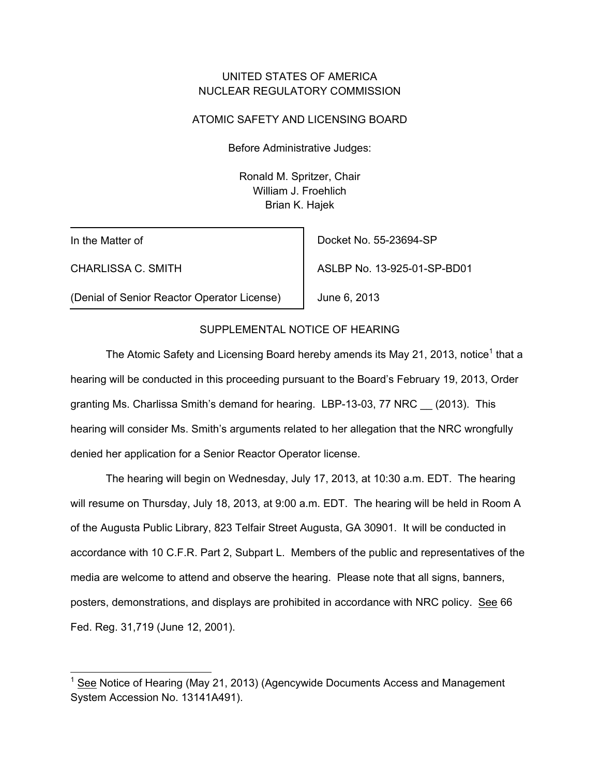## UNITED STATES OF AMERICA NUCLEAR REGULATORY COMMISSION

### ATOMIC SAFETY AND LICENSING BOARD

Before Administrative Judges:

 Ronald M. Spritzer, Chair William J. Froehlich Brian K. Hajek

In the Matter of

-

CHARLISSA C. SMITH

Docket No. 55-23694-SP

June 6, 2013

ASLBP No. 13-925-01-SP-BD01

(Denial of Senior Reactor Operator License)

## SUPPLEMENTAL NOTICE OF HEARING

The Atomic Safety and Licensing Board hereby amends its May 21, 2013, notice<sup>1</sup> that a hearing will be conducted in this proceeding pursuant to the Board's February 19, 2013, Order granting Ms. Charlissa Smith's demand for hearing. LBP-13-03, 77 NRC \_\_ (2013). This hearing will consider Ms. Smith's arguments related to her allegation that the NRC wrongfully denied her application for a Senior Reactor Operator license.

The hearing will begin on Wednesday, July 17, 2013, at 10:30 a.m. EDT. The hearing will resume on Thursday, July 18, 2013, at 9:00 a.m. EDT. The hearing will be held in Room A of the Augusta Public Library, 823 Telfair Street Augusta, GA 30901. It will be conducted in accordance with 10 C.F.R. Part 2, Subpart L. Members of the public and representatives of the media are welcome to attend and observe the hearing. Please note that all signs, banners, posters, demonstrations, and displays are prohibited in accordance with NRC policy. See 66 Fed. Reg. 31,719 (June 12, 2001).

<sup>1</sup> See Notice of Hearing (May 21, 2013) (Agencywide Documents Access and Management System Accession No. 13141A491).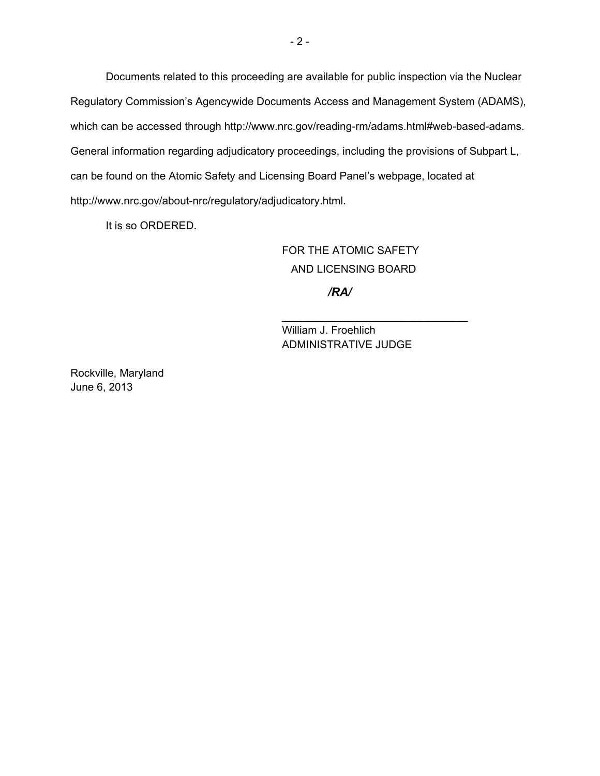Documents related to this proceeding are available for public inspection via the Nuclear Regulatory Commission's Agencywide Documents Access and Management System (ADAMS), which can be accessed through http://www.nrc.gov/reading-rm/adams.html#web-based-adams. General information regarding adjudicatory proceedings, including the provisions of Subpart L, can be found on the Atomic Safety and Licensing Board Panel's webpage, located at http://www.nrc.gov/about-nrc/regulatory/adjudicatory.html.

 $\overline{\phantom{a}}$  , and the contract of the contract of the contract of the contract of the contract of the contract of the contract of the contract of the contract of the contract of the contract of the contract of the contrac

It is so ORDERED.

 FOR THE ATOMIC SAFETY AND LICENSING BOARD

*/RA/*

William J. Froehlich ADMINISTRATIVE JUDGE

Rockville, Maryland June 6, 2013